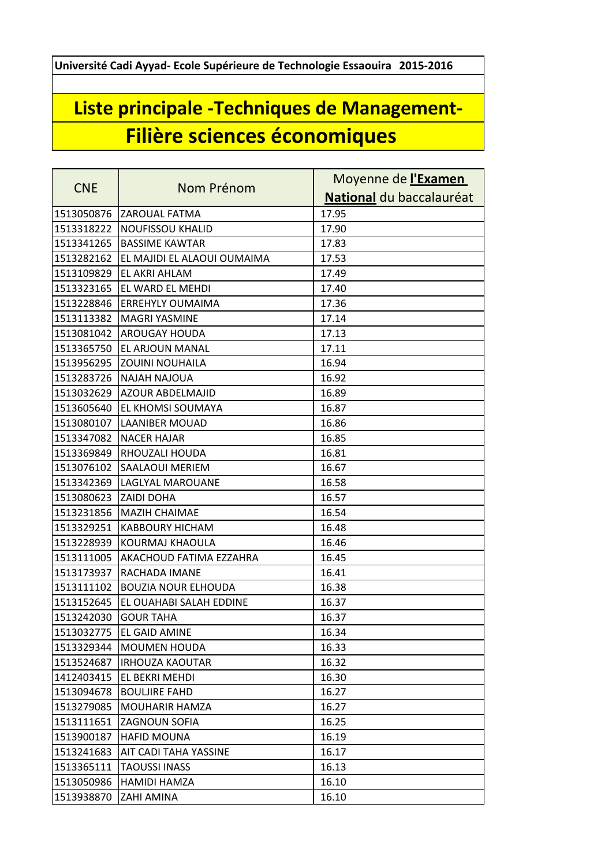**Université Cadi Ayyad- Ecole Supérieure de Technologie Essaouira 2015-2016**

## **Liste principale -Techniques de Management-Filière sciences économiques**

| <b>CNE</b> | Nom Prénom                     | Moyenne de l'Examen      |
|------------|--------------------------------|--------------------------|
|            |                                | National du baccalauréat |
| 1513050876 | <b>ZAROUAL FATMA</b>           | 17.95                    |
| 1513318222 | <b>NOUFISSOU KHALID</b>        | 17.90                    |
| 1513341265 | <b>BASSIME KAWTAR</b>          | 17.83                    |
| 1513282162 | EL MAJIDI EL ALAOUI OUMAIMA    | 17.53                    |
| 1513109829 | EL AKRI AHLAM                  | 17.49                    |
| 1513323165 | EL WARD EL MEHDI               | 17.40                    |
| 1513228846 | <b>ERREHYLY OUMAIMA</b>        | 17.36                    |
| 1513113382 | <b>MAGRI YASMINE</b>           | 17.14                    |
| 1513081042 | AROUGAY HOUDA                  | 17.13                    |
| 1513365750 | EL ARJOUN MANAL                | 17.11                    |
| 1513956295 | <b>ZOUINI NOUHAILA</b>         | 16.94                    |
| 1513283726 | <b>NAJAH NAJOUA</b>            | 16.92                    |
| 1513032629 | AZOUR ABDELMAJID               | 16.89                    |
| 1513605640 | EL KHOMSI SOUMAYA              | 16.87                    |
| 1513080107 | <b>LAANIBER MOUAD</b>          | 16.86                    |
| 1513347082 | <b>NACER HAJAR</b>             | 16.85                    |
| 1513369849 | RHOUZALI HOUDA                 | 16.81                    |
| 1513076102 | SAALAOUI MERIEM                | 16.67                    |
| 1513342369 | LAGLYAL MAROUANE               | 16.58                    |
| 1513080623 | <b>ZAIDI DOHA</b>              | 16.57                    |
| 1513231856 | <b>MAZIH CHAIMAE</b>           | 16.54                    |
| 1513329251 | <b>KABBOURY HICHAM</b>         | 16.48                    |
| 1513228939 | KOURMAJ KHAOULA                | 16.46                    |
| 1513111005 | <b>AKACHOUD FATIMA EZZAHRA</b> | 16.45                    |
| 1513173937 | RACHADA IMANE                  | 16.41                    |
| 1513111102 | <b>BOUZIA NOUR ELHOUDA</b>     | 16.38                    |
| 1513152645 | EL OUAHABI SALAH EDDINE        | 16.37                    |
| 1513242030 | <b>GOUR TAHA</b>               | 16.37                    |
| 1513032775 | <b>EL GAID AMINE</b>           | 16.34                    |
| 1513329344 | <b>MOUMEN HOUDA</b>            | 16.33                    |
| 1513524687 | <b>IRHOUZA KAOUTAR</b>         | 16.32                    |
| 1412403415 | EL BEKRI MEHDI                 | 16.30                    |
| 1513094678 | <b>BOULJIRE FAHD</b>           | 16.27                    |
| 1513279085 | <b>MOUHARIR HAMZA</b>          | 16.27                    |
| 1513111651 | <b>ZAGNOUN SOFIA</b>           | 16.25                    |
| 1513900187 | <b>HAFID MOUNA</b>             | 16.19                    |
| 1513241683 | AIT CADI TAHA YASSINE          | 16.17                    |
| 1513365111 | <b>TAOUSSI INASS</b>           | 16.13                    |
| 1513050986 | <b>HAMIDI HAMZA</b>            | 16.10                    |
| 1513938870 | ZAHI AMINA                     | 16.10                    |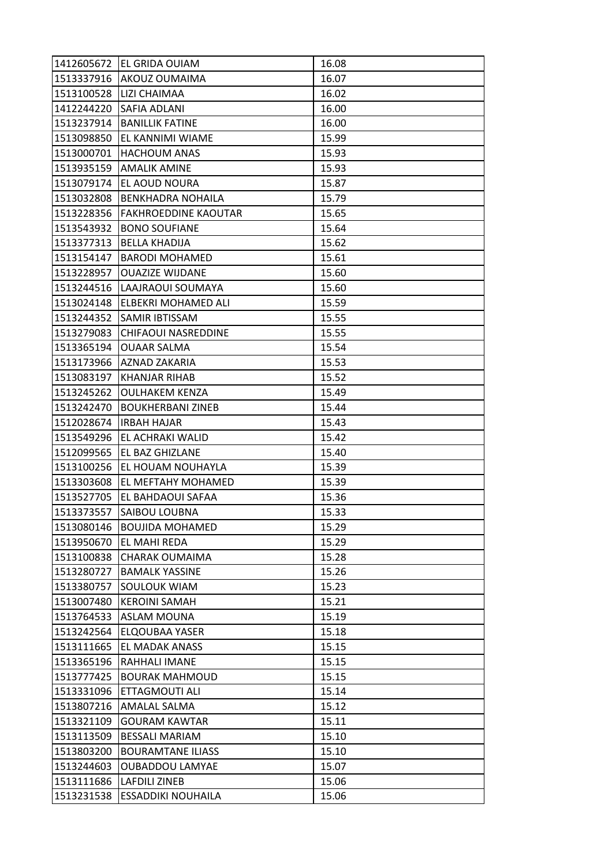| 1412605672 | <b>IEL GRIDA OUIAM</b>      | 16.08 |
|------------|-----------------------------|-------|
| 1513337916 | <b>AKOUZ OUMAIMA</b>        | 16.07 |
| 1513100528 | <b>LIZI CHAIMAA</b>         | 16.02 |
| 1412244220 | ISAFIA ADLANI               | 16.00 |
| 1513237914 | <b>BANILLIK FATINE</b>      | 16.00 |
| 1513098850 | EL KANNIMI WIAME            | 15.99 |
| 1513000701 | <b>HACHOUM ANAS</b>         | 15.93 |
| 1513935159 | <b>AMALIK AMINE</b>         | 15.93 |
| 1513079174 | EL AOUD NOURA               | 15.87 |
| 1513032808 | <b>BENKHADRA NOHAILA</b>    | 15.79 |
| 1513228356 | <b>FAKHROEDDINE KAOUTAR</b> | 15.65 |
| 1513543932 | <b>BONO SOUFIANE</b>        | 15.64 |
| 1513377313 | <b>BELLA KHADIJA</b>        | 15.62 |
| 1513154147 | <b>BARODI MOHAMED</b>       | 15.61 |
| 1513228957 | <b>OUAZIZE WIJDANE</b>      | 15.60 |
| 1513244516 | LAAJRAOUI SOUMAYA           | 15.60 |
| 1513024148 | ELBEKRI MOHAMED ALI         | 15.59 |
| 1513244352 | <b>SAMIR IBTISSAM</b>       | 15.55 |
| 1513279083 | <b>CHIFAOUI NASREDDINE</b>  | 15.55 |
| 1513365194 | <b>OUAAR SALMA</b>          | 15.54 |
| 1513173966 | AZNAD ZAKARIA               | 15.53 |
| 1513083197 | KHANJAR RIHAB               | 15.52 |
| 1513245262 | <b>OULHAKEM KENZA</b>       | 15.49 |
| 1513242470 | <b>BOUKHERBANI ZINEB</b>    | 15.44 |
| 1512028674 | <b>IRBAH HAJAR</b>          | 15.43 |
| 1513549296 | <b>EL ACHRAKI WALID</b>     | 15.42 |
| 1512099565 | <b>EL BAZ GHIZLANE</b>      | 15.40 |
| 1513100256 | EL HOUAM NOUHAYLA           | 15.39 |
| 1513303608 | EL MEFTAHY MOHAMED          | 15.39 |
| 1513527705 | EL BAHDAOUI SAFAA           | 15.36 |
| 1513373557 | SAIBOU LOUBNA               | 15.33 |
| 1513080146 | <b>BOUJIDA MOHAMED</b>      | 15.29 |
| 1513950670 | EL MAHI REDA                | 15.29 |
| 1513100838 | CHARAK OUMAIMA              | 15.28 |
| 1513280727 | <b>BAMALK YASSINE</b>       | 15.26 |
| 1513380757 | <b>SOULOUK WIAM</b>         | 15.23 |
| 1513007480 | <b>KEROINI SAMAH</b>        | 15.21 |
| 1513764533 | <b>ASLAM MOUNA</b>          | 15.19 |
| 1513242564 | <b>ELQOUBAA YASER</b>       | 15.18 |
| 1513111665 | <b>EL MADAK ANASS</b>       | 15.15 |
| 1513365196 | RAHHALI IMANE               | 15.15 |
| 1513777425 | <b>BOURAK MAHMOUD</b>       | 15.15 |
| 1513331096 | ETTAGMOUTI ALI              | 15.14 |
| 1513807216 | AMALAL SALMA                | 15.12 |
| 1513321109 | <b>GOURAM KAWTAR</b>        | 15.11 |
| 1513113509 | <b>BESSALI MARIAM</b>       | 15.10 |
| 1513803200 | <b>BOURAMTANE ILIASS</b>    | 15.10 |
| 1513244603 | <b>OUBADDOU LAMYAE</b>      | 15.07 |
| 1513111686 | <b>LAFDILI ZINEB</b>        | 15.06 |
| 1513231538 | <b>ESSADDIKI NOUHAILA</b>   | 15.06 |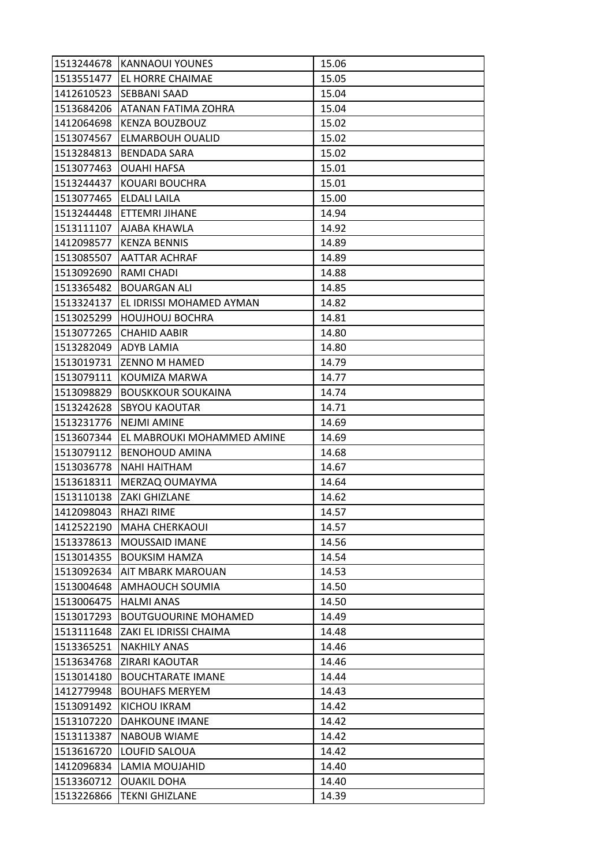| 1513244678 | <b>KANNAOUI YOUNES</b>      | 15.06 |
|------------|-----------------------------|-------|
| 1513551477 | <b>EL HORRE CHAIMAE</b>     | 15.05 |
| 1412610523 | <b>SEBBANI SAAD</b>         | 15.04 |
| 1513684206 | ATANAN FATIMA ZOHRA         | 15.04 |
| 1412064698 | <b>KENZA BOUZBOUZ</b>       | 15.02 |
| 1513074567 | ELMARBOUH OUALID            | 15.02 |
| 1513284813 | <b>BENDADA SARA</b>         | 15.02 |
| 1513077463 | <b>OUAHI HAFSA</b>          | 15.01 |
| 1513244437 | KOUARI BOUCHRA              | 15.01 |
| 1513077465 | <b>ELDALI LAILA</b>         | 15.00 |
| 1513244448 | IETTEMRI JIHANE             | 14.94 |
| 1513111107 | AJABA KHAWLA                | 14.92 |
| 1412098577 | <b>KENZA BENNIS</b>         | 14.89 |
| 1513085507 | <b>AATTAR ACHRAF</b>        | 14.89 |
| 1513092690 | RAMI CHADI                  | 14.88 |
| 1513365482 | <b>BOUARGAN ALI</b>         | 14.85 |
| 1513324137 | EL IDRISSI MOHAMED AYMAN    | 14.82 |
| 1513025299 | <b>HOUJHOUJ BOCHRA</b>      | 14.81 |
| 1513077265 | <b>CHAHID AABIR</b>         | 14.80 |
| 1513282049 | <b>ADYB LAMIA</b>           | 14.80 |
| 1513019731 | <b>ZENNO M HAMED</b>        | 14.79 |
| 1513079111 | KOUMIZA MARWA               | 14.77 |
| 1513098829 | <b>BOUSKKOUR SOUKAINA</b>   | 14.74 |
| 1513242628 | <b>SBYOU KAOUTAR</b>        | 14.71 |
| 1513231776 | NEJMI AMINE                 | 14.69 |
| 1513607344 | EL MABROUKI MOHAMMED AMINE  | 14.69 |
| 1513079112 | <b>BENOHOUD AMINA</b>       | 14.68 |
| 1513036778 | <b>NAHI HAITHAM</b>         | 14.67 |
| 1513618311 | MERZAQ OUMAYMA              | 14.64 |
| 1513110138 | <b>ZAKI GHIZLANE</b>        | 14.62 |
| 1412098043 | <b>RHAZI RIME</b>           | 14.57 |
| 1412522190 | <b>MAHA CHERKAOUI</b>       | 14.57 |
| 1513378613 | <b>MOUSSAID IMANE</b>       | 14.56 |
| 1513014355 | <b>BOUKSIM HAMZA</b>        | 14.54 |
| 1513092634 | AIT MBARK MAROUAN           | 14.53 |
| 1513004648 | AMHAOUCH SOUMIA             | 14.50 |
| 1513006475 | <b>HALMI ANAS</b>           | 14.50 |
| 1513017293 | <b>BOUTGUOURINE MOHAMED</b> | 14.49 |
| 1513111648 | ZAKI EL IDRISSI CHAIMA      | 14.48 |
| 1513365251 | <b>NAKHILY ANAS</b>         | 14.46 |
| 1513634768 | ZIRARI KAOUTAR              | 14.46 |
| 1513014180 | <b>BOUCHTARATE IMANE</b>    | 14.44 |
| 1412779948 | <b>BOUHAFS MERYEM</b>       | 14.43 |
| 1513091492 | KICHOU IKRAM                | 14.42 |
| 1513107220 | <b>DAHKOUNE IMANE</b>       | 14.42 |
| 1513113387 | <b>NABOUB WIAME</b>         | 14.42 |
| 1513616720 | LOUFID SALOUA               | 14.42 |
| 1412096834 | LAMIA MOUJAHID              | 14.40 |
| 1513360712 | <b>OUAKIL DOHA</b>          | 14.40 |
| 1513226866 | <b>TEKNI GHIZLANE</b>       | 14.39 |